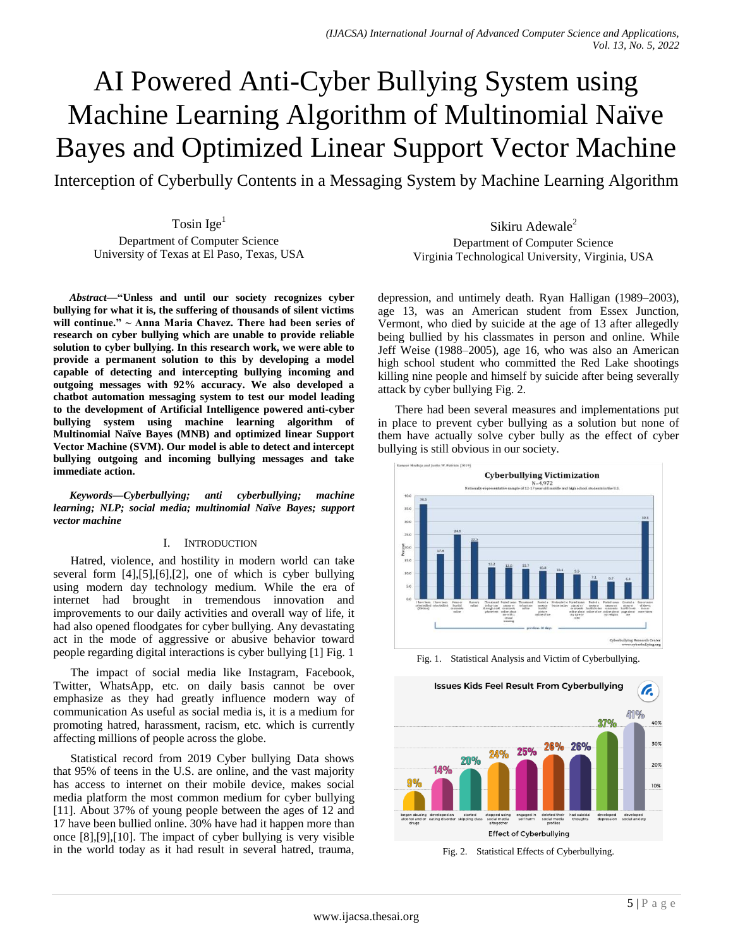# AI Powered Anti-Cyber Bullying System using Machine Learning Algorithm of Multinomial Naïve Bayes and Optimized Linear Support Vector Machine

Interception of Cyberbully Contents in a Messaging System by Machine Learning Algorithm

Tosin  $Ige<sup>1</sup>$ Department of Computer Science University of Texas at El Paso, Texas, USA

*Abstract***—"Unless and until our society recognizes cyber bullying for what it is, the suffering of thousands of silent victims will continue." ~ Anna Maria Chavez. There had been series of research on cyber bullying which are unable to provide reliable solution to cyber bullying. In this research work, we were able to provide a permanent solution to this by developing a model capable of detecting and intercepting bullying incoming and outgoing messages with 92% accuracy. We also developed a chatbot automation messaging system to test our model leading to the development of Artificial Intelligence powered anti-cyber bullying system using machine learning algorithm of Multinomial Naïve Bayes (MNB) and optimized linear Support Vector Machine (SVM). Our model is able to detect and intercept bullying outgoing and incoming bullying messages and take immediate action.**

*Keywords—Cyberbullying; anti cyberbullying; machine learning; NLP; social media; multinomial Naïve Bayes; support vector machine*

### I. INTRODUCTION

Hatred, violence, and hostility in modern world can take several form [4],[5],[6],[2], one of which is cyber bullying using modern day technology medium. While the era of internet had brought in tremendous innovation and improvements to our daily activities and overall way of life, it had also opened floodgates for cyber bullying. Any devastating act in the mode of aggressive or abusive behavior toward people regarding digital interactions is cyber bullying [1] Fig. 1

The impact of social media like Instagram, Facebook, Twitter, WhatsApp, etc. on daily basis cannot be over emphasize as they had greatly influence modern way of communication As useful as social media is, it is a medium for promoting hatred, harassment, racism, etc. which is currently affecting millions of people across the globe.

Statistical record from 2019 Cyber bullying Data shows that 95% of teens in the U.S. are online, and the vast majority has access to internet on their mobile device, makes social media platform the most common medium for cyber bullying [11]. About 37% of young people between the ages of 12 and 17 have been bullied online. 30% have had it happen more than once [8],[9],[10]. The impact of cyber bullying is very visible in the world today as it had result in several hatred, trauma,

Sikiru Adewale<sup>2</sup> Department of Computer Science Virginia Technological University, Virginia, USA

depression, and untimely death. Ryan Halligan (1989–2003), age 13, was an American student from Essex Junction, Vermont, who died by suicide at the age of 13 after allegedly being bullied by his classmates in person and online. While Jeff Weise (1988–2005), age 16, who was also an American high school student who committed the Red Lake shootings killing nine people and himself by suicide after being severally attack by cyber bullying Fig. 2.

There had been several measures and implementations put in place to prevent cyber bullying as a solution but none of them have actually solve cyber bully as the effect of cyber bullying is still obvious in our society.



Fig. 1. Statistical Analysis and Victim of Cyberbullying.



Fig. 2. Statistical Effects of Cyberbullying.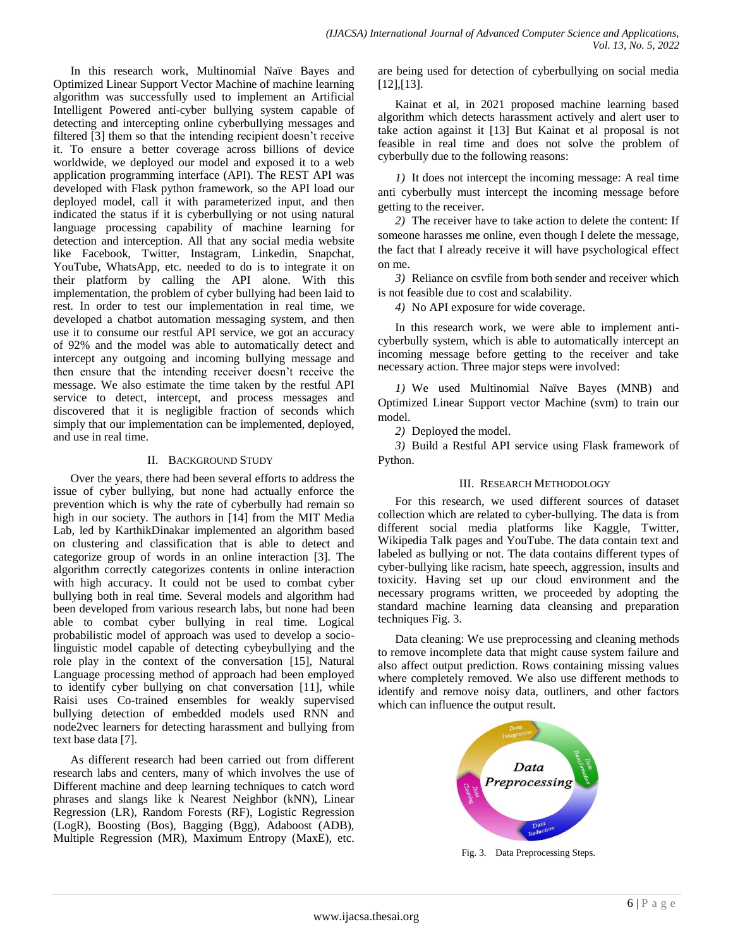In this research work, Multinomial Naïve Bayes and Optimized Linear Support Vector Machine of machine learning algorithm was successfully used to implement an Artificial Intelligent Powered anti-cyber bullying system capable of detecting and intercepting online cyberbullying messages and filtered [3] them so that the intending recipient doesn't receive it. To ensure a better coverage across billions of device worldwide, we deployed our model and exposed it to a web application programming interface (API). The REST API was developed with Flask python framework, so the API load our deployed model, call it with parameterized input, and then indicated the status if it is cyberbullying or not using natural language processing capability of machine learning for detection and interception. All that any social media website like Facebook, Twitter, Instagram, Linkedin, Snapchat, YouTube, WhatsApp, etc. needed to do is to integrate it on their platform by calling the API alone. With this implementation, the problem of cyber bullying had been laid to rest. In order to test our implementation in real time, we developed a chatbot automation messaging system, and then use it to consume our restful API service, we got an accuracy of 92% and the model was able to automatically detect and intercept any outgoing and incoming bullying message and then ensure that the intending receiver doesn't receive the message. We also estimate the time taken by the restful API service to detect, intercept, and process messages and discovered that it is negligible fraction of seconds which simply that our implementation can be implemented, deployed, and use in real time.

## II. BACKGROUND STUDY

Over the years, there had been several efforts to address the issue of cyber bullying, but none had actually enforce the prevention which is why the rate of cyberbully had remain so high in our society. The authors in [14] from the MIT Media Lab, led by KarthikDinakar implemented an algorithm based on clustering and classification that is able to detect and categorize group of words in an online interaction [3]. The algorithm correctly categorizes contents in online interaction with high accuracy. It could not be used to combat cyber bullying both in real time. Several models and algorithm had been developed from various research labs, but none had been able to combat cyber bullying in real time. Logical probabilistic model of approach was used to develop a sociolinguistic model capable of detecting cybeybullying and the role play in the context of the conversation [15], Natural Language processing method of approach had been employed to identify cyber bullying on chat conversation [11], while Raisi uses Co-trained ensembles for weakly supervised bullying detection of embedded models used RNN and node2vec learners for detecting harassment and bullying from text base data [7].

As different research had been carried out from different research labs and centers, many of which involves the use of Different machine and deep learning techniques to catch word phrases and slangs like k Nearest Neighbor (kNN), Linear Regression (LR), Random Forests (RF), Logistic Regression (LogR), Boosting (Bos), Bagging (Bgg), Adaboost (ADB), Multiple Regression (MR), Maximum Entropy (MaxE), etc.

are being used for detection of cyberbullying on social media [12],[13].

Kainat et al, in 2021 proposed machine learning based algorithm which detects harassment actively and alert user to take action against it [13] But Kainat et al proposal is not feasible in real time and does not solve the problem of cyberbully due to the following reasons:

*1)* It does not intercept the incoming message: A real time anti cyberbully must intercept the incoming message before getting to the receiver.

*2)* The receiver have to take action to delete the content: If someone harasses me online, even though I delete the message, the fact that I already receive it will have psychological effect on me.

*3)* Reliance on csvfile from both sender and receiver which is not feasible due to cost and scalability.

*4)* No API exposure for wide coverage.

In this research work, we were able to implement anticyberbully system, which is able to automatically intercept an incoming message before getting to the receiver and take necessary action. Three major steps were involved:

*1)* We used Multinomial Naïve Bayes (MNB) and Optimized Linear Support vector Machine (svm) to train our model.

*2)* Deployed the model.

*3)* Build a Restful API service using Flask framework of Python.

## III. RESEARCH METHODOLOGY

For this research, we used different sources of dataset collection which are related to cyber-bullying. The data is from different social media platforms like Kaggle, Twitter, Wikipedia Talk pages and YouTube. The data contain text and labeled as bullying or not. The data contains different types of cyber-bullying like racism, hate speech, aggression, insults and toxicity. Having set up our cloud environment and the necessary programs written, we proceeded by adopting the standard machine learning data cleansing and preparation techniques Fig. 3.

Data cleaning: We use preprocessing and cleaning methods to remove incomplete data that might cause system failure and also affect output prediction. Rows containing missing values where completely removed. We also use different methods to identify and remove noisy data, outliners, and other factors which can influence the output result.



Fig. 3. Data Preprocessing Steps.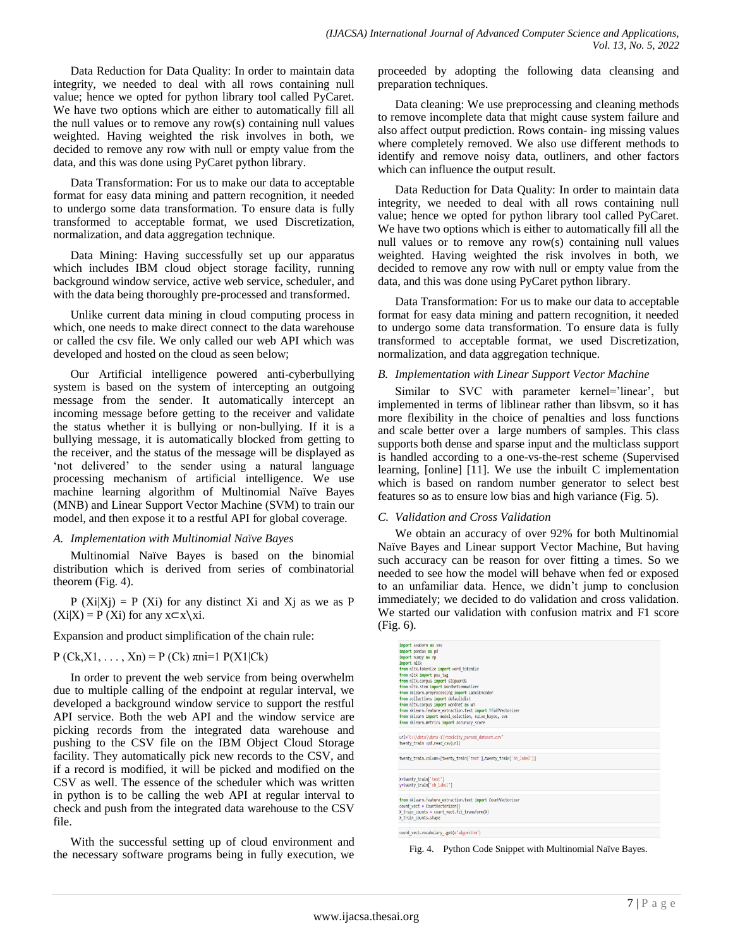Data Reduction for Data Quality: In order to maintain data integrity, we needed to deal with all rows containing null value; hence we opted for python library tool called PyCaret. We have two options which are either to automatically fill all the null values or to remove any row(s) containing null values weighted. Having weighted the risk involves in both, we decided to remove any row with null or empty value from the data, and this was done using PyCaret python library.

Data Transformation: For us to make our data to acceptable format for easy data mining and pattern recognition, it needed to undergo some data transformation. To ensure data is fully transformed to acceptable format, we used Discretization, normalization, and data aggregation technique.

Data Mining: Having successfully set up our apparatus which includes IBM cloud object storage facility, running background window service, active web service, scheduler, and with the data being thoroughly pre-processed and transformed.

Unlike current data mining in cloud computing process in which, one needs to make direct connect to the data warehouse or called the csv file. We only called our web API which was developed and hosted on the cloud as seen below;

Our Artificial intelligence powered anti-cyberbullying system is based on the system of intercepting an outgoing message from the sender. It automatically intercept an incoming message before getting to the receiver and validate the status whether it is bullying or non-bullying. If it is a bullying message, it is automatically blocked from getting to the receiver, and the status of the message will be displayed as 'not delivered' to the sender using a natural language processing mechanism of artificial intelligence. We use machine learning algorithm of Multinomial Naïve Bayes (MNB) and Linear Support Vector Machine (SVM) to train our model, and then expose it to a restful API for global coverage.

### *A. Implementation with Multinomial Naïve Bayes*

Multinomial Naïve Bayes is based on the binomial distribution which is derived from series of combinatorial theorem (Fig. 4).

 $P (Xi|Xj) = P (Xi)$  for any distinct Xi and Xj as we as P  $(Xi|X) = P(Xi)$  for any  $x \subset x \setminus xi$ .

Expansion and product simplification of the chain rule:

P (Ck,X1, ..., Xn) = P (Ck)  $\pi$ ni=1 P(X1|Ck)

In order to prevent the web service from being overwhelm due to multiple calling of the endpoint at regular interval, we developed a background window service to support the restful API service. Both the web API and the window service are picking records from the integrated data warehouse and pushing to the CSV file on the IBM Object Cloud Storage facility. They automatically pick new records to the CSV, and if a record is modified, it will be picked and modified on the CSV as well. The essence of the scheduler which was written in python is to be calling the web API at regular interval to check and push from the integrated data warehouse to the CSV file.

With the successful setting up of cloud environment and the necessary software programs being in fully execution, we proceeded by adopting the following data cleansing and preparation techniques.

Data cleaning: We use preprocessing and cleaning methods to remove incomplete data that might cause system failure and also affect output prediction. Rows contain- ing missing values where completely removed. We also use different methods to identify and remove noisy data, outliners, and other factors which can influence the output result.

Data Reduction for Data Quality: In order to maintain data integrity, we needed to deal with all rows containing null value; hence we opted for python library tool called PyCaret. We have two options which is either to automatically fill all the null values or to remove any row(s) containing null values weighted. Having weighted the risk involves in both, we decided to remove any row with null or empty value from the data, and this was done using PyCaret python library.

Data Transformation: For us to make our data to acceptable format for easy data mining and pattern recognition, it needed to undergo some data transformation. To ensure data is fully transformed to acceptable format, we used Discretization, normalization, and data aggregation technique.

### *B. Implementation with Linear Support Vector Machine*

Similar to SVC with parameter kernel='linear', but implemented in terms of liblinear rather than libsvm, so it has more flexibility in the choice of penalties and loss functions and scale better over a large numbers of samples. This class supports both dense and sparse input and the multiclass support is handled according to a one-vs-the-rest scheme (Supervised learning, [online] [11]. We use the inbuilt C implementation which is based on random number generator to select best features so as to ensure low bias and high variance (Fig. 5).

### *C. Validation and Cross Validation*

We obtain an accuracy of over 92% for both Multinomial Naïve Bayes and Linear support Vector Machine, But having such accuracy can be reason for over fitting a times. So we needed to see how the model will behave when fed or exposed to an unfamiliar data. Hence, we didn't jump to conclusion immediately; we decided to do validation and cross validation. We started our validation with confusion matrix and F1 score (Fig. 6).

| import pandas as pd<br>from nltk.tokenize import word tokenize<br>from nltk import pos tag<br>from sklearn.preprocessing import LabelEncoder<br>from collections import defaultdict<br>from nltk.corpus import wordnet as wn<br>from sklearn.feature extraction.text import TfidfVectorizer<br>from sklearn import model selection, naive bayes, svm<br>from sklearn.metrics import accuracy score<br>twenty train.column=[twenty train['text'], twenty train['oh label']]<br>from sklearn.feature extraction.text import CountVectorizer<br>count vect = CountVectorizer()<br>$X$ train counts = count vect. fit transform $(X)$<br>X train counts.shape |                                                     |  |
|-----------------------------------------------------------------------------------------------------------------------------------------------------------------------------------------------------------------------------------------------------------------------------------------------------------------------------------------------------------------------------------------------------------------------------------------------------------------------------------------------------------------------------------------------------------------------------------------------------------------------------------------------------------|-----------------------------------------------------|--|
|                                                                                                                                                                                                                                                                                                                                                                                                                                                                                                                                                                                                                                                           | import seaborn as sns                               |  |
|                                                                                                                                                                                                                                                                                                                                                                                                                                                                                                                                                                                                                                                           |                                                     |  |
|                                                                                                                                                                                                                                                                                                                                                                                                                                                                                                                                                                                                                                                           | import numpy as np                                  |  |
|                                                                                                                                                                                                                                                                                                                                                                                                                                                                                                                                                                                                                                                           | import nltk                                         |  |
|                                                                                                                                                                                                                                                                                                                                                                                                                                                                                                                                                                                                                                                           |                                                     |  |
|                                                                                                                                                                                                                                                                                                                                                                                                                                                                                                                                                                                                                                                           |                                                     |  |
|                                                                                                                                                                                                                                                                                                                                                                                                                                                                                                                                                                                                                                                           | from nltk.corpus import stopwords                   |  |
|                                                                                                                                                                                                                                                                                                                                                                                                                                                                                                                                                                                                                                                           | from nltk.stem import WordNetLemmatizer             |  |
|                                                                                                                                                                                                                                                                                                                                                                                                                                                                                                                                                                                                                                                           |                                                     |  |
|                                                                                                                                                                                                                                                                                                                                                                                                                                                                                                                                                                                                                                                           |                                                     |  |
|                                                                                                                                                                                                                                                                                                                                                                                                                                                                                                                                                                                                                                                           |                                                     |  |
|                                                                                                                                                                                                                                                                                                                                                                                                                                                                                                                                                                                                                                                           |                                                     |  |
|                                                                                                                                                                                                                                                                                                                                                                                                                                                                                                                                                                                                                                                           |                                                     |  |
|                                                                                                                                                                                                                                                                                                                                                                                                                                                                                                                                                                                                                                                           |                                                     |  |
|                                                                                                                                                                                                                                                                                                                                                                                                                                                                                                                                                                                                                                                           |                                                     |  |
|                                                                                                                                                                                                                                                                                                                                                                                                                                                                                                                                                                                                                                                           | url="C:\\data\\data-1\\toxicity_parsed_dataset.csv" |  |
|                                                                                                                                                                                                                                                                                                                                                                                                                                                                                                                                                                                                                                                           | twenty train =pd.read csv(url)                      |  |
|                                                                                                                                                                                                                                                                                                                                                                                                                                                                                                                                                                                                                                                           |                                                     |  |
|                                                                                                                                                                                                                                                                                                                                                                                                                                                                                                                                                                                                                                                           |                                                     |  |
|                                                                                                                                                                                                                                                                                                                                                                                                                                                                                                                                                                                                                                                           |                                                     |  |
|                                                                                                                                                                                                                                                                                                                                                                                                                                                                                                                                                                                                                                                           | X=twenty train['text']                              |  |
|                                                                                                                                                                                                                                                                                                                                                                                                                                                                                                                                                                                                                                                           | y=twenty train['oh label']                          |  |
|                                                                                                                                                                                                                                                                                                                                                                                                                                                                                                                                                                                                                                                           |                                                     |  |
|                                                                                                                                                                                                                                                                                                                                                                                                                                                                                                                                                                                                                                                           |                                                     |  |
|                                                                                                                                                                                                                                                                                                                                                                                                                                                                                                                                                                                                                                                           |                                                     |  |
|                                                                                                                                                                                                                                                                                                                                                                                                                                                                                                                                                                                                                                                           |                                                     |  |
|                                                                                                                                                                                                                                                                                                                                                                                                                                                                                                                                                                                                                                                           |                                                     |  |
|                                                                                                                                                                                                                                                                                                                                                                                                                                                                                                                                                                                                                                                           |                                                     |  |
|                                                                                                                                                                                                                                                                                                                                                                                                                                                                                                                                                                                                                                                           | Count unst unshulary and understanding the          |  |

Fig. 4. Python Code Snippet with Multinomial Naïve Bayes.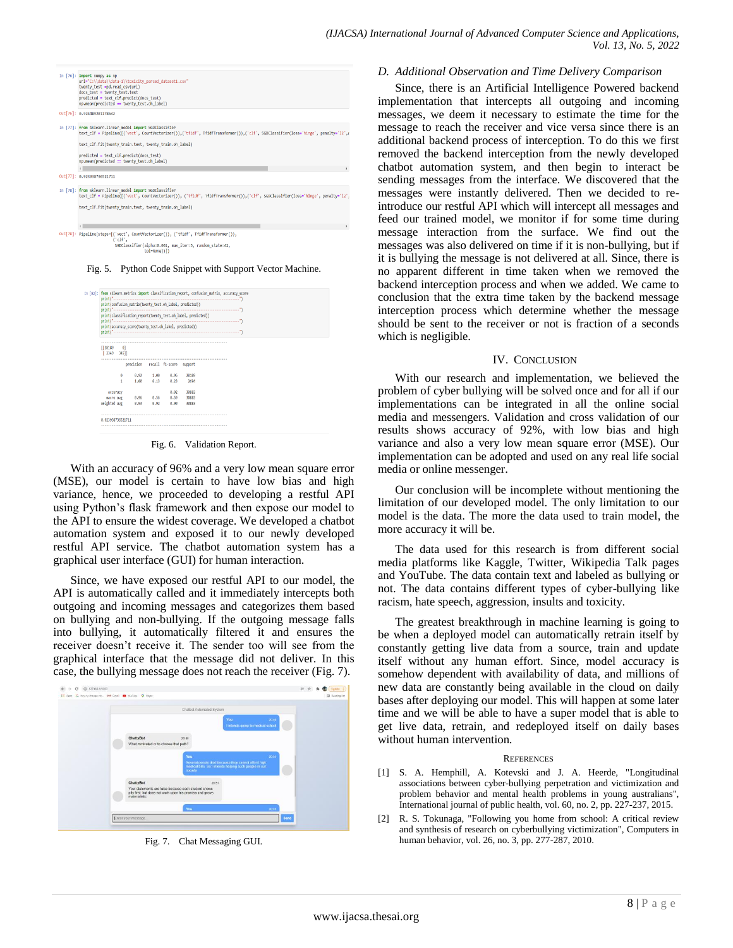

Fig. 5. Python Code Snippet with Support Vector Machine.

|                          |                                                        |      |      | print(confusion matrix(twenty test.oh label, predicted))      |  |  |  |
|--------------------------|--------------------------------------------------------|------|------|---------------------------------------------------------------|--|--|--|
|                          |                                                        |      |      | print(classification report(twenty test.oh_label, predicted)) |  |  |  |
|                          |                                                        |      |      |                                                               |  |  |  |
|                          | print(accuracy score(twenty test.oh label, predicted)) |      |      |                                                               |  |  |  |
|                          |                                                        |      |      |                                                               |  |  |  |
| [128189 0]<br>[2349 345] |                                                        |      |      |                                                               |  |  |  |
|                          | precision recall f1-score support                      |      |      |                                                               |  |  |  |
| 0                        | 0.92                                                   | 1.00 | 0.96 | 28189                                                         |  |  |  |
| 1                        | 1.80                                                   | 0.13 | 0.23 | 2694                                                          |  |  |  |
| accuracy                 |                                                        |      | 0.92 | 30883                                                         |  |  |  |
| nacro avg                | 0.96                                                   | 0.56 | 0.59 | 38883                                                         |  |  |  |
| weighted avg             | 0.93                                                   | 0.92 | 0.90 | 38883                                                         |  |  |  |
|                          |                                                        |      |      |                                                               |  |  |  |

Fig. 6. Validation Report.

With an accuracy of 96% and a very low mean square error (MSE), our model is certain to have low bias and high variance, hence, we proceeded to developing a restful API using Python's flask framework and then expose our model to the API to ensure the widest coverage. We developed a chatbot automation system and exposed it to our newly developed restful API service. The chatbot automation system has a graphical user interface (GUI) for human interaction.

Since, we have exposed our restful API to our model, the API is automatically called and it immediately intercepts both outgoing and incoming messages and categorizes them based on bullying and non-bullying. If the outgoing message falls into bullying, it automatically filtered it and ensures the receiver doesn't receive it. The sender too will see from the graphical interface that the message did not deliver. In this case, the bullying message does not reach the receiver (Fig. 7).



Fig. 7. Chat Messaging GUI.

#### *D. Additional Observation and Time Delivery Comparison*

Since, there is an Artificial Intelligence Powered backend implementation that intercepts all outgoing and incoming messages, we deem it necessary to estimate the time for the message to reach the receiver and vice versa since there is an additional backend process of interception. To do this we first removed the backend interception from the newly developed chatbot automation system, and then begin to interact be sending messages from the interface. We discovered that the messages were instantly delivered. Then we decided to reintroduce our restful API which will intercept all messages and feed our trained model, we monitor if for some time during message interaction from the surface. We find out the messages was also delivered on time if it is non-bullying, but if it is bullying the message is not delivered at all. Since, there is no apparent different in time taken when we removed the backend interception process and when we added. We came to conclusion that the extra time taken by the backend message interception process which determine whether the message should be sent to the receiver or not is fraction of a seconds which is negligible.

#### IV. CONCLUSION

With our research and implementation, we believed the problem of cyber bullying will be solved once and for all if our implementations can be integrated in all the online social media and messengers. Validation and cross validation of our results shows accuracy of 92%, with low bias and high variance and also a very low mean square error (MSE). Our implementation can be adopted and used on any real life social media or online messenger.

Our conclusion will be incomplete without mentioning the limitation of our developed model. The only limitation to our model is the data. The more the data used to train model, the more accuracy it will be.

The data used for this research is from different social media platforms like Kaggle, Twitter, Wikipedia Talk pages and YouTube. The data contain text and labeled as bullying or not. The data contains different types of cyber-bullying like racism, hate speech, aggression, insults and toxicity.

The greatest breakthrough in machine learning is going to be when a deployed model can automatically retrain itself by constantly getting live data from a source, train and update itself without any human effort. Since, model accuracy is somehow dependent with availability of data, and millions of new data are constantly being available in the cloud on daily bases after deploying our model. This will happen at some later time and we will be able to have a super model that is able to get live data, retrain, and redeployed itself on daily bases without human intervention.

#### **REFERENCES**

- [1] S. A. Hemphill, A. Kotevski and J. A. Heerde, "Longitudinal associations between cyber-bullying perpetration and victimization and problem behavior and mental health problems in young australians", International journal of public health, vol. 60, no. 2, pp. 227-237, 2015.
- R. S. Tokunaga, "Following you home from school: A critical review and synthesis of research on cyberbullying victimization", Computers in human behavior, vol. 26, no. 3, pp. 277-287, 2010.